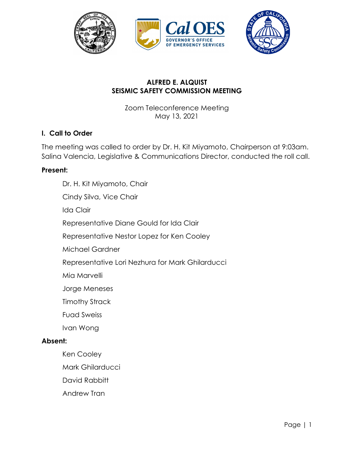

## **ALFRED E. ALQUIST SEISMIC SAFETY COMMISSION MEETING**

Zoom Teleconference Meeting May 13, 2021

### **I. Call to Order**

The meeting was called to order by Dr. H. Kit Miyamoto, Chairperson at 9:03am. Salina Valencia, Legislative & Communications Director, conducted the roll call.

#### **Present:**

Dr. H. Kit Miyamoto, Chair Cindy Silva, Vice Chair Ida Clair Representative Diane Gould for Ida Clair Representative Nestor Lopez for Ken Cooley Michael Gardner Representative Lori Nezhura for Mark Ghilarducci Mia Marvelli Jorge Meneses Timothy Strack Fuad Sweiss Ivan Wong **Absent:**  Ken Cooley Mark Ghilarducci

David Rabbitt

Andrew Tran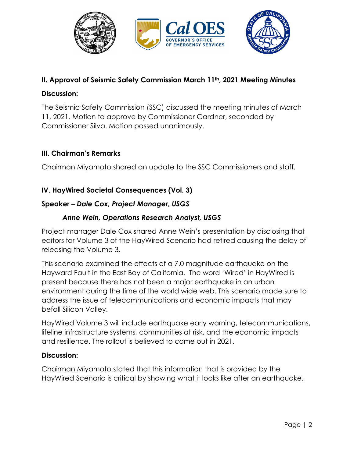

## **II. Approval of Seismic Safety Commission March 11th, 2021 Meeting Minutes**

### **Discussion:**

The Seismic Safety Commission (SSC) discussed the meeting minutes of March 11, 2021. Motion to approve by Commissioner Gardner, seconded by Commissioner Silva. Motion passed unanimously.

## **III. Chairman's Remarks**

Chairman Miyamoto shared an update to the SSC Commissioners and staff.

## **IV. HayWired Societal Consequences (Vol. 3)**

## **Speaker** *– Dale Cox, Project Manager, USGS*

### *Anne Wein, Operations Research Analyst, USGS*

Project manager Dale Cox shared Anne Wein's presentation by disclosing that editors for Volume 3 of the HayWired Scenario had retired causing the delay of releasing the Volume 3.

This scenario examined the effects of a 7.0 magnitude earthquake on the Hayward Fault in the East Bay of California. The word 'Wired' in HayWired is present because there has not been a major earthquake in an urban environment during the time of the world wide web. This scenario made sure to address the issue of telecommunications and economic impacts that may befall Silicon Valley.

HayWired Volume 3 will include earthquake early warning, telecommunications, lifeline infrastructure systems, communities at risk, and the economic impacts and resilience. The rollout is believed to come out in 2021.

#### **Discussion:**

Chairman Miyamoto stated that this information that is provided by the HayWired Scenario is critical by showing what it looks like after an earthquake.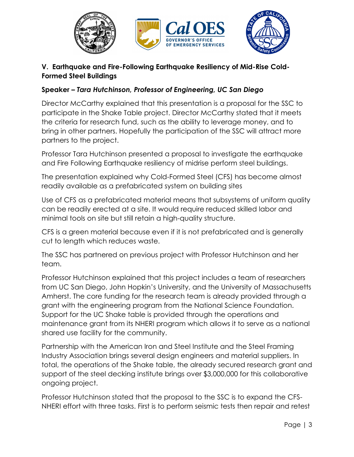

# **V. Earthquake and Fire-Following Earthquake Resiliency of Mid-Rise Cold-Formed Steel Buildings**

# **Speaker** *– Tara Hutchinson, Professor of Engineering, UC San Diego*

Director McCarthy explained that this presentation is a proposal for the SSC to participate in the Shake Table project. Director McCarthy stated that it meets the criteria for research fund, such as the ability to leverage money, and to bring in other partners. Hopefully the participation of the SSC will attract more partners to the project.

Professor Tara Hutchinson presented a proposal to investigate the earthquake and Fire Following Earthquake resiliency of midrise perform steel buildings.

The presentation explained why Cold-Formed Steel (CFS) has become almost readily available as a prefabricated system on building sites

Use of CFS as a prefabricated material means that subsystems of uniform quality can be readily erected at a site. It would require reduced skilled labor and minimal tools on site but still retain a high-quality structure.

CFS is a green material because even if it is not prefabricated and is generally cut to length which reduces waste.

The SSC has partnered on previous project with Professor Hutchinson and her team.

Professor Hutchinson explained that this project includes a team of researchers from UC San Diego, John Hopkin's University, and the University of Massachusetts Amherst. The core funding for the research team is already provided through a grant with the engineering program from the National Science Foundation. Support for the UC Shake table is provided through the operations and maintenance grant from its NHERI program which allows it to serve as a national shared use facility for the community.

Partnership with the American Iron and Steel Institute and the Steel Framing Industry Association brings several design engineers and material suppliers. In total, the operations of the Shake table, the already secured research grant and support of the steel decking institute brings over \$3,000,000 for this collaborative ongoing project.

Professor Hutchinson stated that the proposal to the SSC is to expand the CFS-NHERI effort with three tasks. First is to perform seismic tests then repair and retest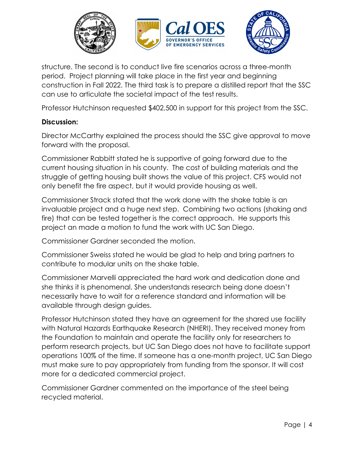

structure. The second is to conduct live fire scenarios across a three-month period. Project planning will take place in the first year and beginning construction in Fall 2022. The third task is to prepare a distilled report that the SSC can use to articulate the societal impact of the test results.

Professor Hutchinson requested \$402,500 in support for this project from the SSC.

### **Discussion:**

Director McCarthy explained the process should the SSC give approval to move forward with the proposal.

Commissioner Rabbitt stated he is supportive of going forward due to the current housing situation in his county. The cost of building materials and the struggle of getting housing built shows the value of this project. CFS would not only benefit the fire aspect, but it would provide housing as well.

Commissioner Strack stated that the work done with the shake table is an invaluable project and a huge next step. Combining two actions (shaking and fire) that can be tested together is the correct approach. He supports this project an made a motion to fund the work with UC San Diego.

Commissioner Gardner seconded the motion.

Commissioner Sweiss stated he would be glad to help and bring partners to contribute to modular units on the shake table.

Commissioner Marvelli appreciated the hard work and dedication done and she thinks it is phenomenal. She understands research being done doesn't necessarily have to wait for a reference standard and information will be available through design guides.

Professor Hutchinson stated they have an agreement for the shared use facility with Natural Hazards Earthquake Research (NHERI). They received money from the Foundation to maintain and operate the facility only for researchers to perform research projects, but UC San Diego does not have to facilitate support operations 100% of the time. If someone has a one-month project, UC San Diego must make sure to pay appropriately from funding from the sponsor. It will cost more for a dedicated commercial project.

Commissioner Gardner commented on the importance of the steel being recycled material.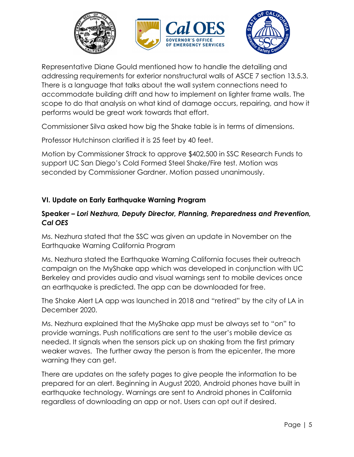

Representative Diane Gould mentioned how to handle the detailing and addressing requirements for exterior nonstructural walls of ASCE 7 section 13.5.3. There is a language that talks about the wall system connections need to accommodate building drift and how to implement on lighter frame walls. The scope to do that analysis on what kind of damage occurs, repairing, and how it performs would be great work towards that effort.

Commissioner Silva asked how big the Shake table is in terms of dimensions.

Professor Hutchinson clarified it is 25 feet by 40 feet.

Motion by Commissioner Strack to approve \$402,500 in SSC Research Funds to support UC San Diego's Cold Formed Steel Shake/Fire test. Motion was seconded by Commissioner Gardner. Motion passed unanimously.

## **VI. Update on Early Earthquake Warning Program**

### **Speaker** *– Lori Nezhura, Deputy Director, Planning, Preparedness and Prevention, Cal OES*

Ms. Nezhura stated that the SSC was given an update in November on the Earthquake Warning California Program

Ms. Nezhura stated the Earthquake Warning California focuses their outreach campaign on the MyShake app which was developed in conjunction with UC Berkeley and provides audio and visual warnings sent to mobile devices once an earthquake is predicted. The app can be downloaded for free.

The Shake Alert LA app was launched in 2018 and "retired" by the city of LA in December 2020.

Ms. Nezhura explained that the MyShake app must be always set to "on" to provide warnings. Push notifications are sent to the user's mobile device as needed. It signals when the sensors pick up on shaking from the first primary weaker waves. The further away the person is from the epicenter, the more warning they can get.

There are updates on the safety pages to give people the information to be prepared for an alert. Beginning in August 2020, Android phones have built in earthquake technology. Warnings are sent to Android phones in California regardless of downloading an app or not. Users can opt out if desired.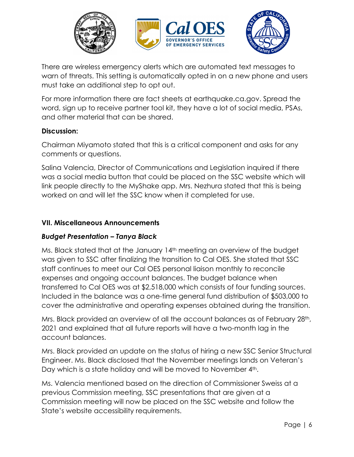

There are wireless emergency alerts which are automated text messages to warn of threats. This setting is automatically opted in on a new phone and users must take an additional step to opt out.

For more information there are fact sheets at earthquake.ca.gov. Spread the word, sign up to receive partner tool kit, they have a lot of social media, PSAs, and other material that can be shared.

### **Discussion:**

Chairman Miyamoto stated that this is a critical component and asks for any comments or questions.

Salina Valencia, Director of Communications and Legislation inquired if there was a social media button that could be placed on the SSC website which will link people directly to the MyShake app. Mrs. Nezhura stated that this is being worked on and will let the SSC know when it completed for use.

## **VII. Miscellaneous Announcements**

## *Budget Presentation – Tanya Black*

Ms. Black stated that at the January 14<sup>th</sup> meeting an overview of the budget was given to SSC after finalizing the transition to Cal OES. She stated that SSC staff continues to meet our Cal OES personal liaison monthly to reconcile expenses and ongoing account balances. The budget balance when transferred to Cal OES was at \$2,518,000 which consists of four funding sources. Included in the balance was a one-time general fund distribution of \$503,000 to cover the administrative and operating expenses obtained during the transition.

Mrs. Black provided an overview of all the account balances as of February 28th, 2021 and explained that all future reports will have a two-month lag in the account balances.

Mrs. Black provided an update on the status of hiring a new SSC Senior Structural Engineer. Ms. Black disclosed that the November meetings lands on Veteran's Day which is a state holiday and will be moved to November 4<sup>th</sup>.

Ms. Valencia mentioned based on the direction of Commissioner Sweiss at a previous Commission meeting, SSC presentations that are given at a Commission meeting will now be placed on the SSC website and follow the State's website accessibility requirements.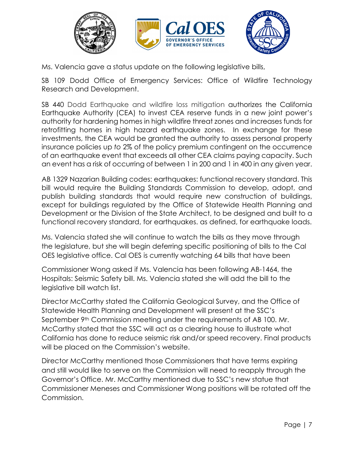

Ms. Valencia gave a status update on the following legislative bills,

SB 109 Dodd Office of Emergency Services: Office of Wildfire Technology Research and Development.

SB 440 Dodd Earthquake and wildfire loss mitigation authorizes the California Earthquake Authority (CEA) to invest CEA reserve funds in a new joint power's authority for hardening homes in high wildfire threat zones and increases funds for retrofitting homes in high hazard earthquake zones. In exchange for these investments, the CEA would be granted the authority to assess personal property insurance policies up *to* 2% of the policy premium contingent on the occurrence of an earthquake event that exceeds all other CEA claims paying capacity. Such an event has a risk of occurring of between 1 in 200 and 1 in 400 in any given year.

AB 1329 Nazarian Building codes: earthquakes: functional recovery standard. This bill would require the Building Standards Commission to develop, adopt, and publish building standards that would require new construction of buildings, except for buildings regulated by the Office of Statewide Health Planning and Development or the Division of the State Architect, to be designed and built to a functional recovery standard, for earthquakes. as defined, for earthquake loads.

Ms. Valencia stated she will continue to watch the bills as they move through the legislature, but she will begin deferring specific positioning of bills to the Cal OES legislative office. Cal OES is currently watching 64 bills that have been

Commissioner Wong asked if Ms. Valencia has been following AB-1464, the Hospitals: Seismic Safety bill. Ms. Valencia stated she will add the bill to the legislative bill watch list.

Director McCarthy stated the California Geological Survey, and the Office of Statewide Health Planning and Development will present at the SSC's September  $9<sup>th</sup>$  Commission meeting under the requirements of AB 100. Mr. McCarthy stated that the SSC will act as a clearing house to illustrate what California has done to reduce seismic risk and/or speed recovery. Final products will be placed on the Commission's website.

Director McCarthy mentioned those Commissioners that have terms expiring and still would like to serve on the Commission will need to reapply through the Governor's Office. Mr. McCarthy mentioned due to SSC's new statue that Commissioner Meneses and Commissioner Wong positions will be rotated off the Commission.